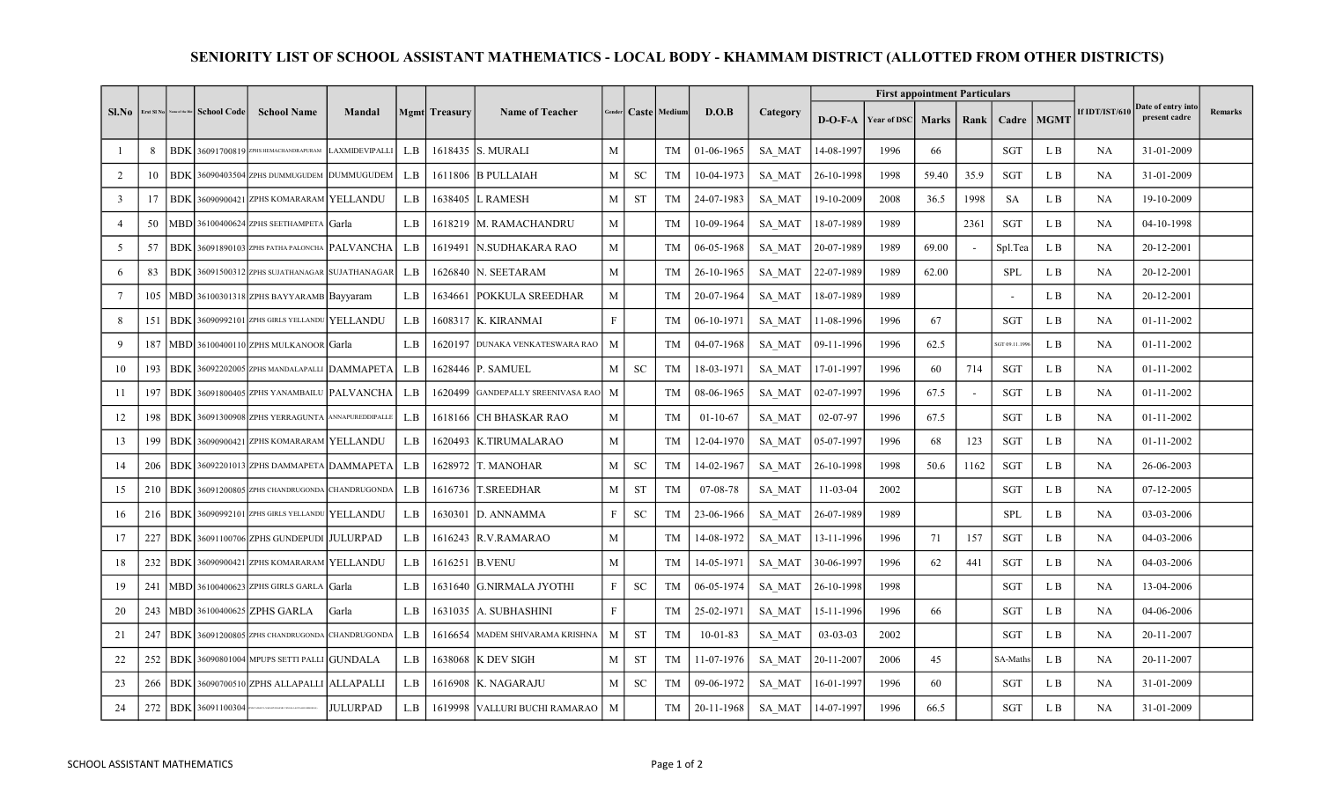## SENIORITY LIST OF SCHOOL ASSISTANT MATHEMATICS - LOCAL BODY - KHAMMAM DISTRICT (ALLOTTED FROM OTHER DISTRICTS)

|                |     |  | Erst SI No   Name of the Dist   School Code | <b>School Name</b>                                   | Mandal          |     | <b>Mgmt</b> Treasury | <b>Name of Teacher</b>           |              |           | Gender   Caste   Medium | D.O.B          | Category      |                |                         | <b>First appointment Particulars</b> |        |                          |              |                |                                     |         |
|----------------|-----|--|---------------------------------------------|------------------------------------------------------|-----------------|-----|----------------------|----------------------------------|--------------|-----------|-------------------------|----------------|---------------|----------------|-------------------------|--------------------------------------|--------|--------------------------|--------------|----------------|-------------------------------------|---------|
| $S1$ . No      |     |  |                                             |                                                      |                 |     |                      |                                  |              |           |                         |                |               |                | $D-O-F-A$   Year of DSC | <b>Marks</b>                         | Rank I |                          | Cadre   MGMT | If IDT/IST/610 | Date of entry into<br>present cadre | Remarks |
|                | 8   |  |                                             | BDK 36091700819 ZPHS HEMACHANDRAPURAM LAXMIDEVIPALLI |                 | L.B |                      | 1618435 S. MURALI                | $\mathbf{M}$ |           | <b>TM</b>               | 01-06-1965     | SA MAT        | 14-08-1997     | 1996                    | 66                                   |        | <b>SGT</b>               | L B          | NA             | 31-01-2009                          |         |
| 2              | 10  |  |                                             | BDK 36090403504 ZPHS DUMMUGUDEM DUMMUGUDEM           |                 | L.B |                      | 1611806 B PULLAIAH               | M            | SC        | TM                      | 10-04-1973     | SA MAT        | 26-10-1998     | 1998                    | 59.40                                | 35.9   | SGT                      | L B          | NA             | 31-01-2009                          |         |
| $\overline{3}$ | 17  |  |                                             | BDK 36090900421 ZPHS KOMARARAM YELLANDU              |                 | L.B |                      | 1638405 L RAMESH                 | $\mathbf{M}$ | <b>ST</b> | TM                      | 24-07-1983     | SA MAT        | 19-10-2009     | 2008                    | 36.5                                 | 1998   | <b>SA</b>                | L B          | <b>NA</b>      | 19-10-2009                          |         |
| $\overline{4}$ | 50  |  |                                             | MBD 36100400624 ZPHS SEETHAMPETA Garla               |                 | L.B |                      | 1618219   M. RAMACHANDRU         | $\mathbf M$  |           | TM                      | 10-09-1964     | SA MAT        | 18-07-1989     | 1989                    |                                      | 2361   | SGT                      | L B          | NA             | 04-10-1998                          |         |
| 5              | 57  |  |                                             | BDK 36091890103 ZPHS PATHA PALONCHA PALVANCHA        |                 | L.B |                      | 1619491   N.SUDHAKARA RAO        | $\mathbf{M}$ |           | <b>TM</b>               | 06-05-1968     | SA MAT        | 20-07-1989     | 1989                    | 69.00                                |        | Spl.Tea                  | L B          | NA             | 20-12-2001                          |         |
| 6              | 83  |  |                                             | BDK 36091500312 ZPHS SUJATHANAGAR SUJATHANAGAR       |                 | L.B |                      | 1626840 N. SEETARAM              | $\mathbf M$  |           | <b>TM</b>               | 26-10-1965     | SA MAT        | 22-07-1989     | 1989                    | 62.00                                |        | <b>SPL</b>               | L B          | <b>NA</b>      | 20-12-2001                          |         |
| 7              |     |  |                                             | 105   MBD 36100301318 ZPHS BAYYARAMB Bayyaram        |                 | L.B | 1634661              | <b>POKKULA SREEDHAR</b>          | M            |           | TM                      | 20-07-1964     | SA MAT        | 18-07-1989     | 1989                    |                                      |        | $\overline{\phantom{a}}$ | L B          | NA             | 20-12-2001                          |         |
| 8              | 151 |  |                                             | BDK 36090992101 ZPHS GIRLS YELLANDU YELLANDU         |                 | L.B |                      | 1608317 K. KIRANMAI              | $\mathbf F$  |           | TM                      | 06-10-1971     | SA MAT        | 11-08-1996     | 1996                    | 67                                   |        | <b>SGT</b>               | L B          | <b>NA</b>      | 01-11-2002                          |         |
| 9              | 187 |  |                                             | MBD 36100400110 ZPHS MULKANOOR Garla                 |                 | L.B |                      | 1620197 DUNAKA VENKATESWARA RAO  | M            |           | TM                      | 04-07-1968     | SA MAT        | 09-11-1996     | 1996                    | 62.5                                 |        | SGT 09.11.199            | L B          | NA             | 01-11-2002                          |         |
| 10             | 193 |  |                                             | BDK 36092202005 ZPHS MANDALAPALLI DAMMAPETA          |                 | L.B |                      | 1628446 P. SAMUEL                | $\mathbf{M}$ | <b>SC</b> | TM                      | 18-03-1971     | SA MAT        | 17-01-1997     | 1996                    | 60                                   | 714    | SGT                      | L B          | <b>NA</b>      | 01-11-2002                          |         |
| 11             | 197 |  |                                             | BDK 36091800405 ZPHS YANAMBAILU PALVANCHA            |                 | L.B | 1620499              | <b>GANDEPALLY SREENIVASA RAO</b> | M            |           | TM                      | 08-06-1965     | <b>SA MAT</b> | 02-07-1997     | 1996                    | 67.5                                 |        | SGT                      | L B          | <b>NA</b>      | 01-11-2002                          |         |
| 12             | 198 |  |                                             | BDK 36091300908 ZPHS YERRAGUNTA ANNAPUREDDIPALLE     |                 | L.B |                      | 1618166 CH BHASKAR RAO           | M            |           | <b>TM</b>               | $01-10-67$     | SA MAT        | 02-07-97       | 1996                    | 67.5                                 |        | SGT                      | L B          | NA             | $01-11-2002$                        |         |
| 13             | 199 |  |                                             | BDK 36090900421 ZPHS KOMARARAM YELLANDU              |                 | L.B | 1620493              | <b>K.TIRUMALARAO</b>             | M            |           | <b>TM</b>               | 12-04-1970     | <b>SA MAT</b> | 05-07-1997     | 1996                    | 68                                   | 123    | SGT                      | L B          | NA             | $01 - 11 - 2002$                    |         |
| 14             | 206 |  |                                             | BDK 36092201013 ZPHS DAMMAPETA DAMMAPETA             |                 | L.B |                      | 1628972 T. MANOHAR               | M            | <b>SC</b> | <b>TM</b>               | 14-02-1967     | SA MAT        | 26-10-1998     | 1998                    | 50.6                                 | 1162   | SGT                      | L B          | NA             | 26-06-2003                          |         |
| 15             | 210 |  |                                             | BDK 36091200805 ZPHS CHANDRUGONDA CHANDRUGONDA       |                 | L.B |                      | 1616736 T.SREEDHAR               | M            | <b>ST</b> | <b>TM</b>               | 07-08-78       | <b>SA MAT</b> | $11-03-04$     | 2002                    |                                      |        | <b>SGT</b>               | L B          | <b>NA</b>      | 07-12-2005                          |         |
| 16             | 216 |  |                                             | BDK 36090992101 ZPHS GIRLS YELLANDU YELLANDU         |                 | L.B |                      | 1630301 D. ANNAMMA               | $\, {\rm F}$ | <b>SC</b> | TM                      | 23-06-1966     | SA MAT        | 26-07-1989     | 1989                    |                                      |        | <b>SPL</b>               | L B          | NA             | 03-03-2006                          |         |
| 17             | 227 |  |                                             | BDK 36091100706 ZPHS GUNDEPUDI JULURPAD              |                 | L.B |                      | 1616243 R.V.RAMARAO              | $\mathbf{M}$ |           | <b>TM</b>               | 14-08-1972     | SA MAT        | 13-11-1996     | 1996                    | 71                                   | 157    | SGT                      | L B          | <b>NA</b>      | 04-03-2006                          |         |
| 18             | 232 |  |                                             | BDK 36090900421 ZPHS KOMARARAM YELLANDU              |                 | L.B |                      | 1616251 B.VENU                   | M            |           | <b>TM</b>               | 14-05-1971     | SA MAT        | 30-06-1997     | 1996                    | 62                                   | 441    | SGT                      | L B          | <b>NA</b>      | 04-03-2006                          |         |
| 19             | 241 |  |                                             | MBD 36100400623 ZPHS GIRLS GARLA Garla               |                 | L.B |                      | 1631640 G.NIRMALA JYOTHI         | $\mathbf F$  | <b>SC</b> | TM                      | 06-05-1974     | SA MAT        | 26-10-1998     | 1998                    |                                      |        | SGT                      | L B          | NA             | 13-04-2006                          |         |
| 20             | 243 |  |                                             | MBD 36100400625 ZPHS GARLA                           | Garla           | L.B |                      | 1631035 A. SUBHASHINI            | $\mathbf F$  |           | <b>TM</b>               | 25-02-1971     | SA MAT        | 15-11-1996     | 1996                    | 66                                   |        | SGT                      | L B          | NA             | 04-06-2006                          |         |
| 21             | 247 |  |                                             | BDK 36091200805 ZPHS CHANDRUGONDA CHANDRUGONDA       |                 | L.B |                      | 1616654 MADEM SHIVARAMA KRISHNA  | M            | <b>ST</b> | <b>TM</b>               | $10 - 01 - 83$ | SA MAT        | $03 - 03 - 03$ | 2002                    |                                      |        | SGT                      | L B          | NA             | 20-11-2007                          |         |
| 22             | 252 |  |                                             | BDK 36090801004 MPUPS SETTI PALLI GUNDALA            |                 | L.B |                      | 1638068 K DEV SIGH               | M            | <b>ST</b> | TM                      | 11-07-1976     | SA MAT        | 20-11-2007     | 2006                    | 45                                   |        | SA-Maths                 | L B          | <b>NA</b>      | 20-11-2007                          |         |
| 23             | 266 |  |                                             | BDK 36090700510 ZPHS ALLAPALLI ALLAPALLI             |                 | L.B |                      | 1616908 K. NAGARAJU              | $\mathbf{M}$ | <b>SC</b> | <b>TM</b>               | 09-06-1972     | <b>SA MAT</b> | 16-01-1997     | 1996                    | 60                                   |        | SGT                      | L B          | <b>NA</b>      | 31-01-2009                          |         |
| 24             | 272 |  | BDK 36091100304                             | <b>APERAGERE VENUAL A ROTAGER SESSIONAL</b>          | <b>JULURPAD</b> | L.B |                      | 1619998 VALLURI BUCHI RAMARAO    | M            |           | TM                      | 20-11-1968     | SA MAT        | 14-07-1997     | 1996                    | 66.5                                 |        | SGT                      | L B          | NA             | 31-01-2009                          |         |